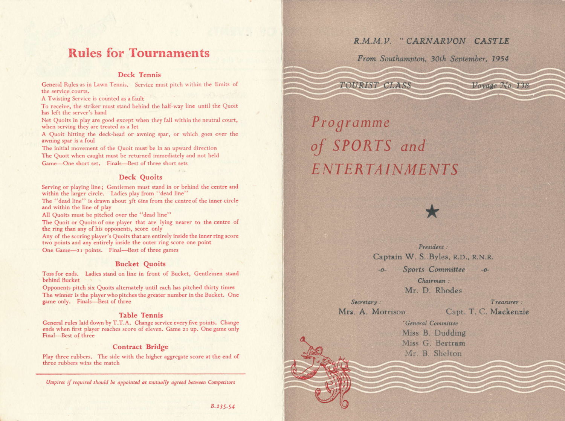# Rules for Tournaments

#### Deck Tennis

General Rules as in Lawn Tennis. Service must pitch within the limits of the service courts.

A Twisting Service is counted as a fault

To receive, the striker must stand behind the half-way line until the Quoit has left the server's hand

Net Quoits in play are good except when they fall within the neutral court, when serving they are treated as a let

A Quoit hitting the deck-head or awning spar, or which goes over the aming spar is a foul

The initial movement of the Quoit must be in an upuard direction Thc Quoit when caught must be returned immediately and not held Game-One short set. Finals-Best of three short sets

### Deck Quoits

 $4.14$ 

Serving or playing line; Gentlemen must stand in or behind the centre and within the larger circle. Ladies play from "dead line"

The "dead line" is drawn about 3ft 6ins from the centre of the inner circle and within the line of play

All Quoits must be pitched over the "dead line"

The Quoit or Quoits of one player that are lying nearer to the centre of the ring than any of his opponents, score only

Any of the scoring player's Quoits that are entirely inside the imer ring scorc two points and any entirely inside the outer ring score one point One Game-21 points. Final-Best of three games

#### Bucket Quoits

Toss for ends. Ladies stand on line in front of Bucket, Gentlemen stand behind Bucket

Opponents pitch six Quoits alternately until each has pitched thirty times The winner is the player who pitches the greater number in the Bucket. One game only. Finals-Best of three

#### Table Tennis

General rules laid down by T.T.A. Change service every five points. Change ends when first player reaches score of eleven. Game 21 up. One game only Final-Best of three

### Contract Bridge

Play three rubbers. The side with the higher aggregate score at the end of three rubbers wins the match

Umpires if required should be appointed as mutually agreed between Competitors

### R.M.M.V. "CARNARVON CASTLE

From Southampton, 30th September, 1954

TOURIST CLASS

# Programme of SPORTS and ENTERTAINMENTS



President Captain W. S. Byles, R.D., R.N.R. Sports Committee  $-0 -0-$ Chairman: Mr. D. Rhodes

Secretary: Mrs. A. Morrison

Treasurer: Capt. T. C. Mackenzie

Voyage No. 138

'General Committee Miss B. Dudding Miss G. Bertram Mr. B. Shelton